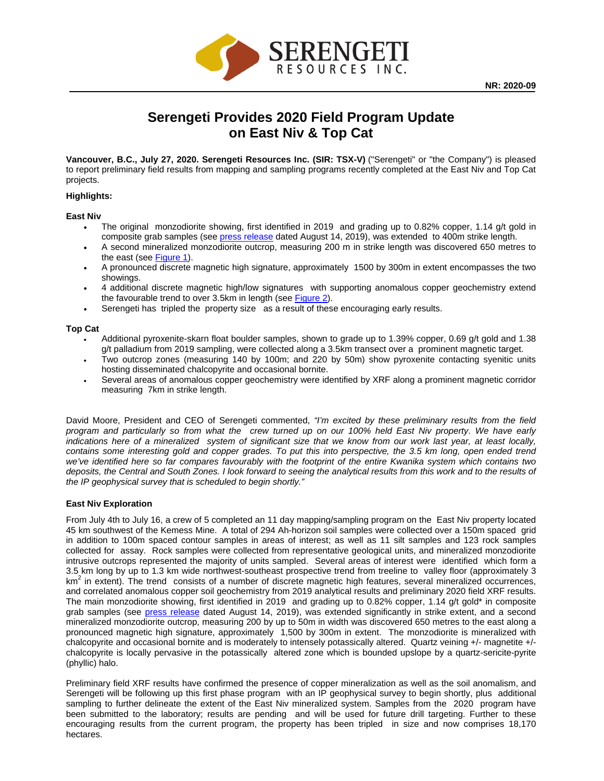

# **Serengeti Provides 2020 Field Program Update on East Niv & Top Cat**

**Vancouver, B.C., July 27, 2020. Serengeti Resources Inc. (SIR: TSX-V)** ("Serengeti" or "the Company") is pleased to report preliminary field results from mapping and sampling programs recently completed at the East Niv and Top Cat projects.

## **Highlights:**

## **East Niv**

- The original monzodiorite showing, first identified in 2019 and grading up to 0.82% copper, 1.14 g/t gold in composite grab samples (see [press release](https://serengetiresources.com/site/assets/files/2655/nr-aug14-2019-10_east-niv_final.pdf) dated August 14, 2019), was extended to 400m strike length.
- A second mineralized monzodiorite outcrop, measuring 200 m in strike length was discovered 650 metres to the east (see [Figure 1\)](https://serengetiresources.com/site/assets/files/2837/env_mainzone_20200724_final.jpg).
- A pronounced discrete magnetic high signature, approximately 1500 by 300m in extent encompasses the two showings.
- 4 additional discrete magnetic high/low signatures with supporting anomalous copper geochemistry extend the favourable trend to over 3.5km in length (see [Figure 2\)](https://serengetiresources.com/site/assets/files/2837/env_overview_20200724_final.jpg).
- Serengeti has tripled the property size as a result of these encouraging early results.

#### **Top Cat**

- Additional pyroxenite-skarn float boulder samples, shown to grade up to 1.39% copper, 0.69 g/t gold and 1.38 g/t palladium from 2019 sampling, were collected along a 3.5km transect over a prominent magnetic target.
- Two outcrop zones (measuring 140 by 100m; and 220 by 50m) show pyroxenite contacting syenitic units hosting disseminated chalcopyrite and occasional bornite.
- Several areas of anomalous copper geochemistry were identified by XRF along a prominent magnetic corridor measuring 7km in strike length.

David Moore, President and CEO of Serengeti commented, *"I'm excited by these preliminary results from the field program and particularly so from what the crew turned up on our 100% held East Niv property. We have early indications here of a mineralized system of significant size that we know from our work last year, at least locally, contains some interesting gold and copper grades. To put this into perspective, the 3.5 km long, open ended trend we've identified here so far compares favourably with the footprint of the entire Kwanika system which contains two deposits, the Central and South Zones. I look forward to seeing the analytical results from this work and to the results of the IP geophysical survey that is scheduled to begin shortly."* 

## **East Niv Exploration**

From July 4th to July 16, a crew of 5 completed an 11 day mapping/sampling program on the East Niv property located 45 km southwest of the Kemess Mine. A total of 294 Ah-horizon soil samples were collected over a 150m spaced grid in addition to 100m spaced contour samples in areas of interest; as well as 11 silt samples and 123 rock samples collected for assay. Rock samples were collected from representative geological units, and mineralized monzodiorite intrusive outcrops represented the majority of units sampled. Several areas of interest were identified which form a 3.5 km long by up to 1.3 km wide northwest-southeast prospective trend from treeline to valley floor (approximately 3  $km<sup>2</sup>$  in extent). The trend consists of a number of discrete magnetic high features, several mineralized occurrences, and correlated anomalous copper soil geochemistry from 2019 analytical results and preliminary 2020 field XRF results. The main monzodiorite showing, first identified in 2019 and grading up to 0.82% copper, 1.14 g/t gold\* in composite grab samples (see [press release](https://serengetiresources.com/site/assets/files/2655/nr-aug14-2019-10_east-niv_final.pdf) dated August 14, 2019), was extended significantly in strike extent, and a second mineralized monzodiorite outcrop, measuring 200 by up to 50m in width was discovered 650 metres to the east along a pronounced magnetic high signature, approximately 1,500 by 300m in extent. The monzodiorite is mineralized with chalcopyrite and occasional bornite and is moderately to intensely potassically altered. Quartz veining +/- magnetite +/ chalcopyrite is locally pervasive in the potassically altered zone which is bounded upslope by a quartz-sericite-pyrite (phyllic) halo.

Preliminary field XRF results have confirmed the presence of copper mineralization as well as the soil anomalism, and Serengeti will be following up this first phase program with an IP geophysical survey to begin shortly, plus additional sampling to further delineate the extent of the East Niv mineralized system. Samples from the 2020 program have been submitted to the laboratory; results are pending and will be used for future drill targeting. Further to these encouraging results from the current program, the property has been tripled in size and now comprises 18,170 hectares.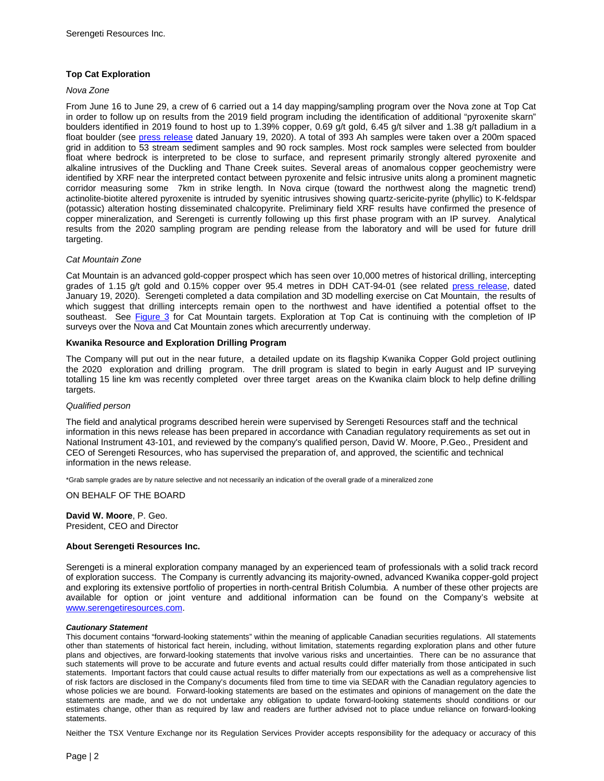# **Top Cat Exploration**

# *Nova Zone*

From June 16 to June 29, a crew of 6 carried out a 14 day mapping/sampling program over the Nova zone at Top Cat in order to follow up on results from the 2019 field program including the identification of additional "pyroxenite skarn" boulders identified in 2019 found to host up to 1.39% copper, 0.69 g/t gold, 6.45 g/t silver and 1.38 g/t palladium in a float boulder (see [press release](https://serengetiresources.com/site/assets/files/2796/2020-01-19_nr_sir_sxb8g110ao.pdf) dated January 19, 2020). A total of 393 Ah samples were taken over a 200m spaced grid in addition to 53 stream sediment samples and 90 rock samples. Most rock samples were selected from boulder float where bedrock is interpreted to be close to surface, and represent primarily strongly altered pyroxenite and alkaline intrusives of the Duckling and Thane Creek suites. Several areas of anomalous copper geochemistry were identified by XRF near the interpreted contact between pyroxenite and felsic intrusive units along a prominent magnetic corridor measuring some 7km in strike length. In Nova cirque (toward the northwest along the magnetic trend) actinolite-biotite altered pyroxenite is intruded by syenitic intrusives showing quartz-sericite-pyrite (phyllic) to K-feldspar (potassic) alteration hosting disseminated chalcopyrite. Preliminary field XRF results have confirmed the presence of copper mineralization, and Serengeti is currently following up this first phase program with an IP survey. Analytical results from the 2020 sampling program are pending release from the laboratory and will be used for future drill targeting.

## *Cat Mountain Zone*

Cat Mountain is an advanced gold-copper prospect which has seen over 10,000 metres of historical drilling, intercepting grades of 1.15 g/t gold and 0.15% copper over 95.4 metres in DDH CAT-94-01 (see related [press release,](https://serengetiresources.com/site/assets/files/2796/2020-01-19_nr_sir_sxb8g110ao.pdf) dated January 19, 2020). Serengeti completed a data compilation and 3D modelling exercise on Cat Mountain, the results of which suggest that drilling intercepts remain open to the northwest and have identified a potential offset to the southeast. See [Figure 3](https://serengetiresources.com/site/assets/files/2791/tct_cat_ddh-mag_plan_20200114_markup.jpg) for Cat Mountain targets. Exploration at Top Cat is continuing with the completion of IP surveys over the Nova and Cat Mountain zones which arecurrently underway.

#### **Kwanika Resource and Exploration Drilling Program**

The Company will put out in the near future, a detailed update on its flagship Kwanika Copper Gold project outlining the 2020 exploration and drilling program. The drill program is slated to begin in early August and IP surveying totalling 15 line km was recently completed over three target areas on the Kwanika claim block to help define drilling targets.

#### *Qualified person*

The field and analytical programs described herein were supervised by Serengeti Resources staff and the technical information in this news release has been prepared in accordance with Canadian regulatory requirements as set out in National Instrument 43-101, and reviewed by the company's qualified person, David W. Moore, P.Geo., President and CEO of Serengeti Resources, who has supervised the preparation of, and approved, the scientific and technical information in the news release.

\*Grab sample grades are by nature selective and not necessarily an indication of the overall grade of a mineralized zone

ON BEHALF OF THE BOARD

**David W. Moore**, P. Geo. President, CEO and Director

## **About Serengeti Resources Inc.**

Serengeti is a mineral exploration company managed by an experienced team of professionals with a solid track record of exploration success. The Company is currently advancing its majority-owned, advanced Kwanika copper-gold project and exploring its extensive portfolio of properties in north-central British Columbia. A number of these other projects are available for option or joint venture and additional information can be found on the Company's website at [www.serengetiresources.com.](http://www.serengetiresources.com/)

#### *Cautionary Statement*

This document contains "forward-looking statements" within the meaning of applicable Canadian securities regulations. All statements other than statements of historical fact herein, including, without limitation, statements regarding exploration plans and other future plans and objectives, are forward-looking statements that involve various risks and uncertainties. There can be no assurance that such statements will prove to be accurate and future events and actual results could differ materially from those anticipated in such statements. Important factors that could cause actual results to differ materially from our expectations as well as a comprehensive list of risk factors are disclosed in the Company's documents filed from time to time via SEDAR with the Canadian regulatory agencies to whose policies we are bound. Forward-looking statements are based on the estimates and opinions of management on the date the statements are made, and we do not undertake any obligation to update forward-looking statements should conditions or our estimates change, other than as required by law and readers are further advised not to place undue reliance on forward-looking statements.

Neither the TSX Venture Exchange nor its Regulation Services Provider accepts responsibility for the adequacy or accuracy of this